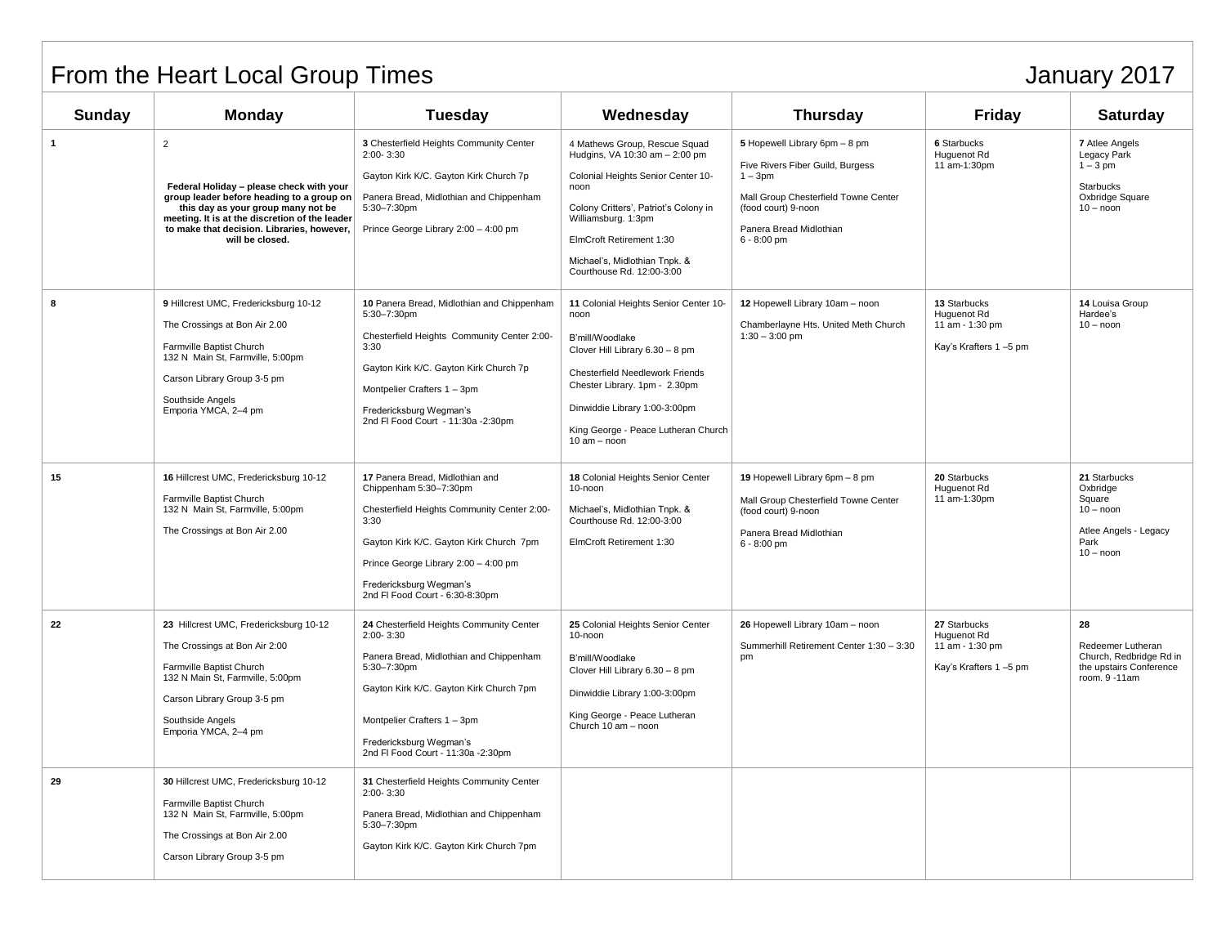## From the Heart Local Group Times January 2017

| Sunday | <b>Monday</b>                                                                                                                                                                                                                                                    | Tuesday                                                                                                                                                                                                                                                           | Wednesday                                                                                                                                                                                                                                                                | Thursday                                                                                                                                                                                  | Friday                                                                  | <b>Saturday</b>                                                                                   |
|--------|------------------------------------------------------------------------------------------------------------------------------------------------------------------------------------------------------------------------------------------------------------------|-------------------------------------------------------------------------------------------------------------------------------------------------------------------------------------------------------------------------------------------------------------------|--------------------------------------------------------------------------------------------------------------------------------------------------------------------------------------------------------------------------------------------------------------------------|-------------------------------------------------------------------------------------------------------------------------------------------------------------------------------------------|-------------------------------------------------------------------------|---------------------------------------------------------------------------------------------------|
| 1      | $\overline{2}$<br>Federal Holiday - please check with your<br>group leader before heading to a group on<br>this day as your group many not be<br>meeting. It is at the discretion of the leader<br>to make that decision. Libraries, however,<br>will be closed. | 3 Chesterfield Heights Community Center<br>$2:00 - 3:30$<br>Gayton Kirk K/C. Gayton Kirk Church 7p<br>Panera Bread, Midlothian and Chippenham<br>5:30-7:30pm<br>Prince George Library 2:00 - 4:00 pm                                                              | 4 Mathews Group, Rescue Squad<br>Hudgins, VA 10:30 am - 2:00 pm<br>Colonial Heights Senior Center 10-<br>noon<br>Colony Critters', Patriot's Colony in<br>Williamsburg. 1:3pm<br>ElmCroft Retirement 1:30<br>Michael's, Midlothian Tnpk. &<br>Courthouse Rd. 12:00-3:00  | 5 Hopewell Library 6pm - 8 pm<br>Five Rivers Fiber Guild, Burgess<br>$1 - 3pm$<br>Mall Group Chesterfield Towne Center<br>(food court) 9-noon<br>Panera Bread Midlothian<br>$6 - 8:00$ pm | 6 Starbucks<br>Huguenot Rd<br>11 am-1:30pm                              | 7 Atlee Angels<br>Legacy Park<br>$1 - 3$ pm<br>Starbucks<br>Oxbridge Square<br>$10 -$ noon        |
| 8      | 9 Hillcrest UMC, Fredericksburg 10-12<br>The Crossings at Bon Air 2.00<br>Farmville Baptist Church<br>132 N Main St, Farmville, 5:00pm<br>Carson Library Group 3-5 pm<br>Southside Angels<br>Emporia YMCA, 2-4 pm                                                | 10 Panera Bread, Midlothian and Chippenham<br>5:30-7:30pm<br>Chesterfield Heights Community Center 2:00-<br>3:30<br>Gayton Kirk K/C. Gayton Kirk Church 7p<br>Montpelier Crafters 1 - 3pm<br>Fredericksburg Wegman's<br>2nd FI Food Court - 11:30a -2:30pm        | 11 Colonial Heights Senior Center 10-<br>noon<br>B'mill/Woodlake<br>Clover Hill Library 6.30 - 8 pm<br><b>Chesterfield Needlework Friends</b><br>Chester Library. 1pm - 2.30pm<br>Dinwiddie Library 1:00-3:00pm<br>King George - Peace Lutheran Church<br>$10 am - noon$ | 12 Hopewell Library 10am - noon<br>Chamberlayne Hts. United Meth Church<br>$1:30 - 3:00$ pm                                                                                               | 13 Starbucks<br>Huguenot Rd<br>11 am - 1:30 pm<br>Kay's Krafters 1-5 pm | 14 Louisa Group<br>Hardee's<br>$10 -$ noon                                                        |
| 15     | 16 Hillcrest UMC, Fredericksburg 10-12<br>Farmville Baptist Church<br>132 N Main St, Farmville, 5:00pm<br>The Crossings at Bon Air 2.00                                                                                                                          | 17 Panera Bread. Midlothian and<br>Chippenham 5:30-7:30pm<br>Chesterfield Heights Community Center 2:00-<br>3:30<br>Gayton Kirk K/C. Gayton Kirk Church 7pm<br>Prince George Library 2:00 - 4:00 pm<br>Fredericksburg Wegman's<br>2nd FI Food Court - 6:30-8:30pm | 18 Colonial Heights Senior Center<br>10-noon<br>Michael's, Midlothian Tnpk. &<br>Courthouse Rd. 12:00-3:00<br>ElmCroft Retirement 1:30                                                                                                                                   | 19 Hopewell Library 6pm - 8 pm<br>Mall Group Chesterfield Towne Center<br>(food court) 9-noon<br>Panera Bread Midlothian<br>$6 - 8:00$ pm                                                 | 20 Starbucks<br>Huguenot Rd<br>11 am-1:30pm                             | 21 Starbucks<br>Oxbridge<br>Square<br>$10 -$ noon<br>Atlee Angels - Legacy<br>Park<br>$10 -$ noon |
| 22     | 23 Hillcrest UMC, Fredericksburg 10-12<br>The Crossings at Bon Air 2:00<br>Farmville Baptist Church<br>132 N Main St, Farmville, 5:00pm<br>Carson Library Group 3-5 pm<br>Southside Angels<br>Emporia YMCA, 2-4 pm                                               | 24 Chesterfield Heights Community Center<br>$2:00 - 3:30$<br>Panera Bread, Midlothian and Chippenham<br>5:30-7:30pm<br>Gayton Kirk K/C. Gayton Kirk Church 7pm<br>Montpelier Crafters 1 - 3pm<br>Fredericksburg Wegman's<br>2nd FI Food Court - 11:30a -2:30pm    | 25 Colonial Heights Senior Center<br>10-noon<br>B'mill/Woodlake<br>Clover Hill Library 6.30 - 8 pm<br>Dinwiddie Library 1:00-3:00pm<br>King George - Peace Lutheran<br>Church 10 am - noon                                                                               | 26 Hopewell Library 10am - noon<br>Summerhill Retirement Center 1:30 - 3:30<br>pm                                                                                                         | 27 Starbucks<br>Huguenot Rd<br>11 am - 1:30 pm<br>Kay's Krafters 1-5 pm | 28<br>Redeemer Lutheran<br>Church, Redbridge Rd in<br>the upstairs Conference<br>room. 9 -11am    |
| 29     | 30 Hillcrest UMC, Fredericksburg 10-12<br>Farmville Baptist Church<br>132 N Main St, Farmville, 5:00pm<br>The Crossings at Bon Air 2.00<br>Carson Library Group 3-5 pm                                                                                           | 31 Chesterfield Heights Community Center<br>$2:00 - 3:30$<br>Panera Bread, Midlothian and Chippenham<br>$5:30 - 7:30$ pm<br>Gayton Kirk K/C. Gayton Kirk Church 7pm                                                                                               |                                                                                                                                                                                                                                                                          |                                                                                                                                                                                           |                                                                         |                                                                                                   |